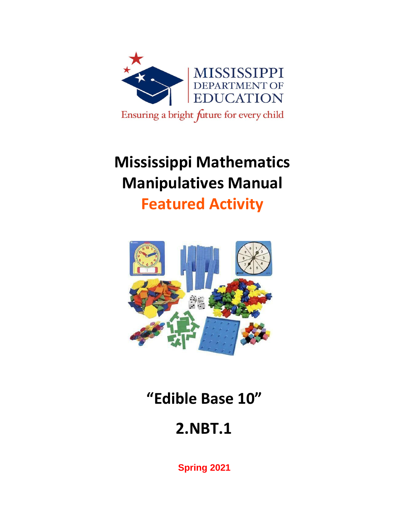

# **Mississippi Mathematics Manipulatives Manual**

**Featured Activity**



**"Edible Base 10"**

# **2.NBT.1**

**Spring 2021**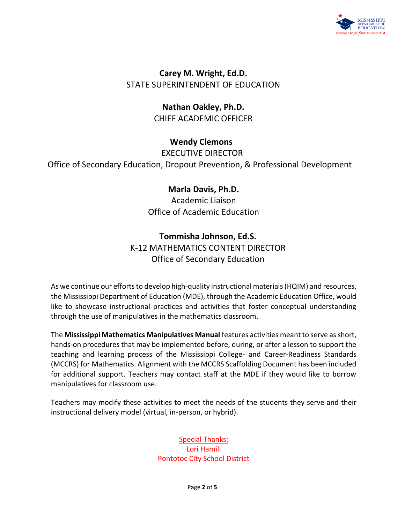

**Carey M. Wright, Ed.D.** STATE SUPERINTENDENT OF EDUCATION

> **Nathan Oakley, Ph.D.** CHIEF ACADEMIC OFFICER

> > **Wendy Clemons**

EXECUTIVE DIRECTOR

Office of Secondary Education, Dropout Prevention, & Professional Development

### **Marla Davis, Ph.D.**

Academic Liaison Office of Academic Education

### **Tommisha Johnson, Ed.S.**

K-12 MATHEMATICS CONTENT DIRECTOR Office of Secondary Education

As we continue our efforts to develop high-quality instructional materials (HQIM) and resources, the Mississippi Department of Education (MDE), through the Academic Education Office, would like to showcase instructional practices and activities that foster conceptual understanding through the use of manipulatives in the mathematics classroom.

The **Mississippi Mathematics Manipulatives Manual** features activities meant to serve as short, hands-on procedures that may be implemented before, during, or after a lesson to support the teaching and learning process of the Mississippi College- and Career-Readiness Standards (MCCRS) for Mathematics. Alignment with the MCCRS Scaffolding Document has been included for additional support. Teachers may contact staff at the MDE if they would like to borrow manipulatives for classroom use.

Teachers may modify these activities to meet the needs of the students they serve and their instructional delivery model (virtual, in-person, or hybrid).

> Special Thanks: Lori Hamill Pontotoc City School District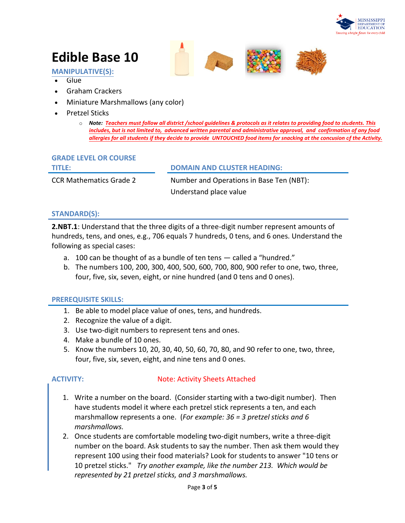

## **Edible Base 10**

**MANIPULATIVE(S):**

- Glue
- Graham Crackers
- Miniature Marshmallows (any color)
- Pretzel Sticks
	- o *Note: Teachers must follow all district /school guidelines & protocols as it relates to providing food to students. This includes, but is not limited to, advanced written parental and administrative approval, and confirmation of any food allergies for all students if they decide to provide UNTOUCHED food items for snacking at the concusion of the Activity.*

#### **GRADE LEVEL OR COURSE**

| TITLE:                         | <b>DOMAIN AND CLUSTER HEADING:</b>       |
|--------------------------------|------------------------------------------|
| <b>CCR Mathematics Grade 2</b> | Number and Operations in Base Ten (NBT): |
|                                | Understand place value                   |

#### **STANDARD(S):**

**2.NBT.1**: Understand that the three digits of a three-digit number represent amounts of hundreds, tens, and ones, e.g., 706 equals 7 hundreds, 0 tens, and 6 ones. Understand the following as special cases:

- a. 100 can be thought of as a bundle of ten tens called a "hundred."
- b. The numbers 100, 200, 300, 400, 500, 600, 700, 800, 900 refer to one, two, three, four, five, six, seven, eight, or nine hundred (and 0 tens and 0 ones).

#### **PREREQUISITE SKILLS:**

- 1. Be able to model place value of ones, tens, and hundreds.
- 2. Recognize the value of a digit.
- 3. Use two-digit numbers to represent tens and ones.
- 4. Make a bundle of 10 ones.
- 5. Know the numbers 10, 20, 30, 40, 50, 60, 70, 80, and 90 refer to one, two, three, four, five, six, seven, eight, and nine tens and 0 ones.

#### **ACTIVITY:** Note: Activity Sheets Attached

- 1. Write a number on the board. (Consider starting with a two-digit number). Then have students model it where each pretzel stick represents a ten, and each marshmallow represents a one. (*For example: 36 = 3 pretzel sticks and 6 marshmallows.*
- 2. Once students are comfortable modeling two-digit numbers, write a three-digit number on the board. Ask students to say the number. Then ask them would they represent 100 using their food materials? Look for students to answer "10 tens or 10 pretzel sticks." *Try another example, like the number 213. Which would be represented by 21 pretzel sticks, and 3 marshmallows.*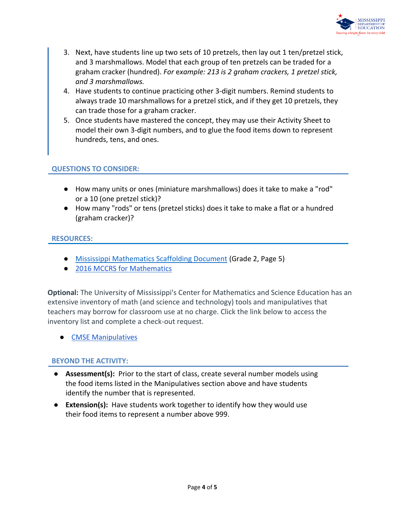

- 3. Next, have students line up two sets of 10 pretzels, then lay out 1 ten/pretzel stick, and 3 marshmallows. Model that each group of ten pretzels can be traded for a graham cracker (hundred). *For* e*xample: 213 is 2 graham crackers, 1 pretzel stick, and 3 marshmallows.*
- 4. Have students to continue practicing other 3-digit numbers. Remind students to always trade 10 marshmallows for a pretzel stick, and if they get 10 pretzels, they can trade those for a graham cracker.
- 5. Once students have mastered the concept, they may use their Activity Sheet to model their own 3-digit numbers, and to glue the food items down to represent hundreds, tens, and ones.

#### **QUESTIONS TO CONSIDER:**

- How many units or ones (miniature marshmallows) does it take to make a "rod" or a 10 (one pretzel stick)?
- How many "rods" or tens (pretzel sticks) does it take to make a flat or a hundred (graham cracker)?

#### **RESOURCES:**

- [Mississippi Mathematics Scaffolding Document](https://www.mdek12.org/sites/default/files/Offices/Secondary%20Ed/ELA/ccr/Math/02.Grade-2-Math-Scaffolding-Doc.pdf) (Grade 2, Page 5)
- [2016 MCCRS for Mathematics](https://districtaccess.mde.k12.ms.us/curriculumandInstruction/Mathematics%20Resources/MS%20CCSSM%20Framework%20Documents/2016-MS-CCRS-Math.pdf)

**Optional:** The University of Mississippi's Center for Mathematics and Science Education has an extensive inventory of math (and science and technology) tools and manipulatives that teachers may borrow for classroom use at no charge. Click the link below to access the inventory list and complete a check-out request.

**[CMSE Manipulatives](https://sites.google.com/go.olemiss.edu/cmseresources/home)** 

#### **BEYOND THE ACTIVITY:**

- **Assessment(s):** Prior to the start of class, create several number models using the food items listed in the Manipulatives section above and have students identify the number that is represented.
- **Extension(s):** Have students work together to identify how they would use their food items to represent a number above 999.